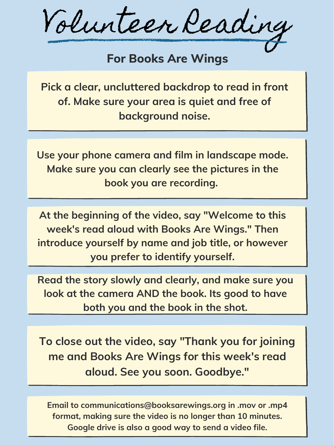Volunteer Reading

## **For Books Are Wings**

**Pick a clear, uncluttered backdrop to read in front of. Make sure your area is quiet and free of background noise.**

**Use your phone camera and film in landscape mode. Make sure you can clearly see the pictures in the book you are recording.**

**To close out the video, say "Thank you for joining me and Books Are Wings for this week's read aloud. See you soon. Goodbye. "**

**At the beginning of the video, say "Welcome to this week's read aloud with Books Are Wings. " Then introduce yourself by name and job title, or however you prefer to identify yourself.**

**Email to communications@booksarewings.org in .mov or .mp4 format, making sure the video is no longer than 10 minutes. Google drive is also a good way to send a video file.**

**Read the story slowly and clearly, and make sure you look at the camera AND the book. Its good to have both you and the book in the shot.**